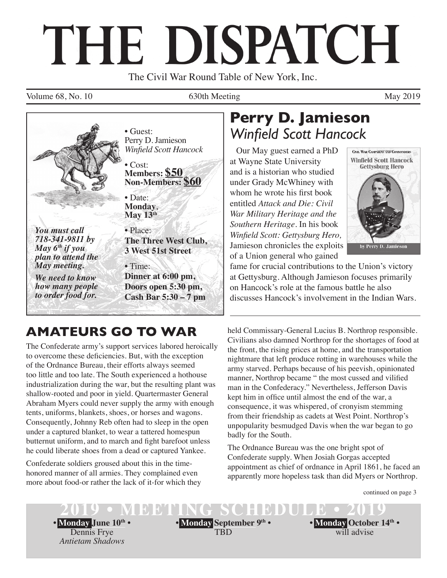# THE DISPATCH

The Civil War Round Table of New York, Inc.

Volume 68, No. 10 630th Meeting May 2019



*how many people to order food for.*

Perry D. Jamieson **Winfield Scott Hancock** 

**Non-Members: \$60**

**The Three West Club, 3 West 51st Street** 

**Dinner at 6:00 pm, Doors open 5:30 pm, Cash Bar 5:30 – 7 pm**

# **AMATEURS GO TO WAR**

The Confederate army's support services labored heroically to overcome these deficiencies. But, with the exception of the Ordnance Bureau, their efforts always seemed too little and too late. The South experienced a hothouse industrialization during the war, but the resulting plant was shallow-rooted and poor in yield. Quartermaster General Abraham Myers could never supply the army with enough tents, uniforms, blankets, shoes, or horses and wagons. Consequently, Johnny Reb often had to sleep in the open under a captured blanket, to wear a tattered homespun butternut uniform, and to march and fight barefoot unless he could liberate shoes from a dead or captured Yankee.

Confederate soldiers groused about this in the timehonored manner of all armies. They complained even more about food-or rather the lack of it-for which they

# **Perry D. Jamieson Winfield Scott Hancock**

Our May guest earned a PhD at Wayne State University and is a historian who studied under Grady McWhiney with whom he wrote his first book entitled *Attack and Die: Civil War Military Heritage and the Southern Heritage*. In his book *Winfield Scott: Gettysburg Hero,* Jamieson chronicles the exploits of a Union general who gained



fame for crucial contributions to the Union's victory at Gettysburg. Although Jamieson focuses primarily on Hancock's role at the famous battle he also discusses Hancock's involvement in the Indian Wars.

held Commissary-General Lucius B. Northrop responsible. Civilians also damned Northrop for the shortages of food at the front, the rising prices at home, and the transportation nightmare that left produce rotting in warehouses while the army starved. Perhaps because of his peevish, opinionated manner, Northrop became " the most cussed and vilified man in the Confederacy." Nevertheless, Jefferson Davis kept him in office until almost the end of the war, a consequence, it was whispered, of cronyism stemming from their friendship as cadets at West Point. Northrop's unpopularity besmudged Davis when the war began to go badly for the South.

The Ordnance Bureau was the one bright spot of Confederate supply. When Josiah Gorgas accepted appointment as chief of ordnance in April 1861, he faced an apparently more hopeless task than did Myers or Northrop.

continued on page 3

**Monday June 10th •** Dennis Frye *Antietam Shadows*

**• Monday September 9th • TRD** 

 $2010$ 

**• Monday October 14th •** will advise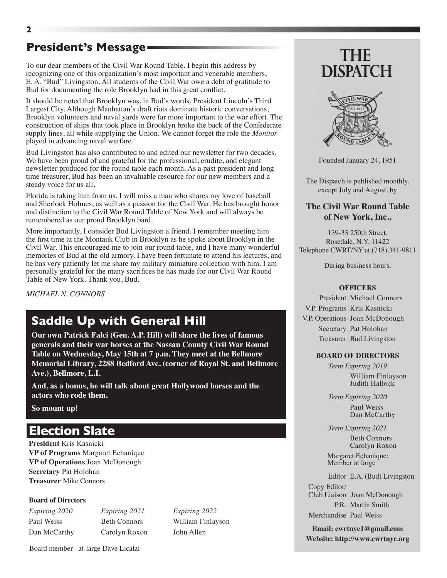### **President's Message**

To our dear members of the Civil War Round Table. I begin this address by recognizing one of this organization's most important and venerable members, E. A. "Bud" Livingston. All students of the Civil War owe a debt of gratitude to Bud for documenting the role Brooklyn had in this great conflict.

It should be noted that Brooklyn was, in Bud's words, President Lincoln's Third Largest City. Although Manhattan's draft riots dominate historic conversations, Brooklyn volunteers and naval yards were far more important to the war effort. The construction of ships that took place in Brooklyn broke the back of the Confederate supply lines, all while supplying the Union. We cannot forget the role the *Monitor* played in advancing naval warfare.

Bud Livingston has also contributed to and edited our newsletter for two decades. We have been proud of and grateful for the professional, erudite, and elegant newsletter produced for the round table each month. As a past president and longtime treasurer, Bud has been an invaluable resource for our new members and a steady voice for us all.

Florida is taking him from us. I will miss a man who shares my love of baseball and Sherlock Holmes, as well as a passion for the Civil War. He has brought honor and distinction to the Civil War Round Table of New York and will always be remembered as our proud Brooklyn bard.

More importantly, I consider Bud Livingston a friend. I remember meeting him the first time at the Montauk Club in Brooklyn as he spoke about Brooklyn in the Civil War. This encouraged me to join our round table, and I have many wonderful memories of Bud at the old armory. I have been fortunate to attend his lectures, and he has very patiently let me share my military miniature collection with him. I am personally grateful for the many sacrifices he has made for our Civil War Round Table of New York. Thank you, Bud.

*MICHAEL N. CONNORS*

## **Saddle Up with General Hill**

**Our own Patrick Falci (Gen. A.P. Hill) will share the lives of famous generals and their war horses at the Nassau County Civil War Round Table on Wednesday, May 15th at 7 p.m. They meet at the Bellmore Memorial Library, 2288 Bedford Ave. (corner of Royal St. and Bellmore Ave.), Bellmore, L.I.**

**And, as a bonus, he will talk about great Hollywood horses and the actors who rode them.**

**So mount up!**

## **Election Slate**

**President** Kris Kasnicki **VP of Programs** Margaret Echanique **VP of Operations** Joan McDonough **Secretary** Pat Holohan **Treasurer** Mike Connors

#### **Board of Directors**

*Expiring 2020* Paul Weiss Dan McCarthy

*Expiring 2021* Beth Connors Carolyn Roxon *Expiring 2022* William Finlayson John Allen

THE **DISPATCH** 



Founded January 24, 1951

The Dispatch is published monthly, except July and August, by

#### **The Civil War Round Table of New York, Inc.,**

139-33 250th Street, Rosedale, N.Y. 11422 Telephone CWRT/NY at (718) 341-9811

During business hours.

#### **OFFICERS**

President Michael Connors V.P. Programs Kris Kasnicki V.P. Operations Joan McDonough Secretary Pat Holohan Treasurer Bud Livingston

#### **BOARD OF DIRECTORS**

*Term Expiring 2019* William Finlayson Judith Hallock

*Term Expiring 2020* Paul Weiss Dan McCarthy

*Term Expiring 2021*

 Beth Connors Carolyn Roxon

 Margaret Echanique: Member at large

Editor E.A. (Bud) Livingston Copy Editor/ Club Liaison Joan McDonough P.R. Martin Smith

Merchandise Paul Weiss

**Email: cwrtnyc1@gmail.com Website: http://www.cwrtnyc.org**

Board member –at-large Dave Licalzi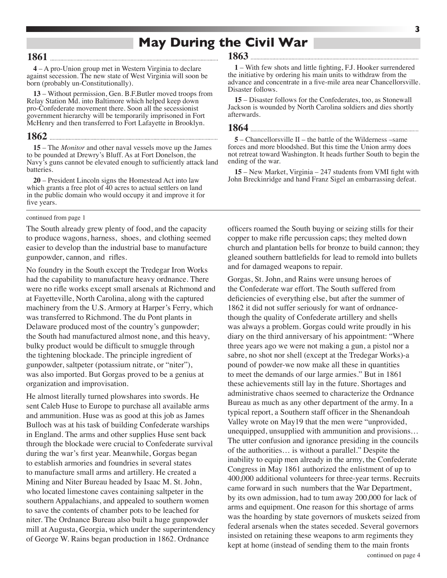## **May During the Civil War**

#### **1861**

**4** – A pro-Union group met in Western Virginia to declare against secession. The new state of West Virginia will soon be born (probably un-Constitutionally).

**13** – Without permission, Gen. B.F.Butler moved troops from Relay Station Md. into Baltimore which helped keep down pro-Confederate movement there. Soon all the secessionist government hierarchy will be temporarily imprisoned in Fort McHenry and then transferred to Fort Lafayette in Brooklyn.

#### **1862**

**15** – The *Monitor* and other naval vessels move up the James to be pounded at Drewry's Bluff. As at Fort Donelson, the Navy's guns cannot be elevated enough to sufficiently attack land batteries.

**20** – President Lincoln signs the Homestead Act into law which grants a free plot of 40 acres to actual settlers on land in the public domain who would occupy it and improve it for five years.

#### continued from page 1

The South already grew plenty of food, and the capacity to produce wagons, harness, shoes, and clothing seemed easier to develop than the industrial base to manufacture gunpowder, cannon, and rifles.

No foundry in the South except the Tredegar Iron Works had the capability to manufacture heavy ordnance. There were no rifle works except small arsenals at Richmond and at Fayetteville, North Carolina, along with the captured machinery from the U.S. Armory at Harper's Ferry, which was transferred to Richmond. The du Pont plants in Delaware produced most of the country's gunpowder; the South had manufactured almost none, and this heavy, bulky product would be difficult to smuggle through the tightening blockade. The principle ingredient of gunpowder, saltpeter (potassium nitrate, or "niter"), was also imported. But Gorgas proved to be a genius at organization and improvisation.

He almost literally turned plowshares into swords. He sent Caleb Huse to Europe to purchase all available arms and ammunition. Huse was as good at this job as James Bulloch was at his task of building Confederate warships in England. The arms and other supplies Huse sent back through the blockade were crucial to Confederate survival during the war's first year. Meanwhile, Gorgas began to establish armories and foundries in several states to manufacture small arms and artillery. He created a Mining and Niter Bureau headed by Isaac M. St. John, who located limestone caves containing saltpeter in the southern Appalachians, and appealed to southern women to save the contents of chamber pots to be leached for niter. The Ordnance Bureau also built a huge gunpowder mill at Augusta, Georgia, which under the superintendency of George W. Rains began production in 1862. Ordnance

#### **1863**

**1** – With few shots and little fighting, F.J. Hooker surrendered the initiative by ordering his main units to withdraw from the advance and concentrate in a five-mile area near Chancellorsville. Disaster follows.

**15** – Disaster follows for the Confederates, too, as Stonewall Jackson is wounded by North Carolina soldiers and dies shortly afterwards.

#### **1864**

**5** – Chancellorsville II – the battle of the Wilderness –same forces and more bloodshed. But this time the Union army does not retreat toward Washington. It heads further South to begin the ending of the war.

**15** – New Market, Virginia – 247 students from VMI fight with John Breckinridge and hand Franz Sigel an embarrassing defeat.

officers roamed the South buying or seizing stills for their copper to make rifle percussion caps; they melted down church and plantation bells for bronze to build cannon; they gleaned southern battlefields for lead to remold into bullets and for damaged weapons to repair.

Gorgas, St. John, and Rains were unsung heroes of the Confederate war effort. The South suffered from deficiencies of everything else, but after the summer of 1862 it did not suffer seriously for want of ordnancethough the quality of Confederate artillery and shells was always a problem. Gorgas could write proudly in his diary on the third anniversary of his appointment: "Where three years ago we were not making a gun, a pistol nor a sabre, no shot nor shell (except at the Tredegar Works)-a pound of powder-we now make all these in quantities to meet the demands of our large armies." But in 1861 these achievements still lay in the future. Shortages and administrative chaos seemed to characterize the Ordnance Bureau as much as any other department of the army. In a typical report, a Southern staff officer in the Shenandoah Valley wrote on May19 that the men were "unprovided, unequipped, unsupplied with ammunition and provisions… The utter confusion and ignorance presiding in the councils of the authorities… is without a parallel." Despite the inability to equip men already in the army, the Confederate Congress in May 1861 authorized the enlistment of up to 400,000 additional volunteers for three-year terms. Recruits came forward in such numbers that the War Department, by its own admission, had to tum away 200,000 for lack of arms and equipment. One reason for this shortage of arms was the hoarding by state governors of muskets seized from federal arsenals when the states seceded. Several governors insisted on retaining these weapons to arm regiments they kept at home (instead of sending them to the main fronts